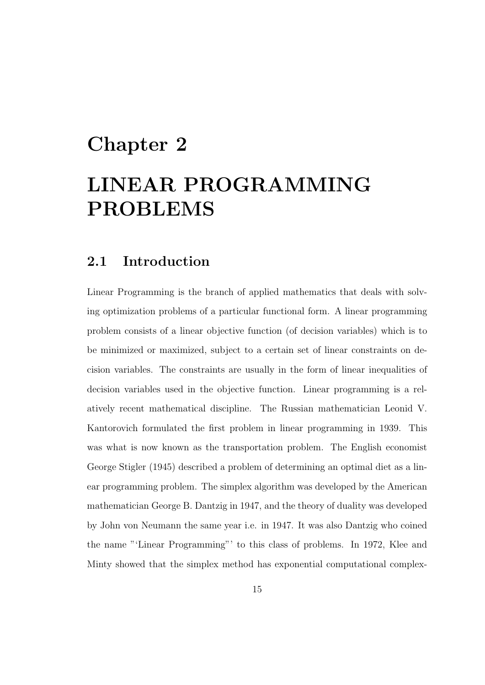# Chapter 2

# LINEAR PROGRAMMING PROBLEMS

# 2.1 Introduction

Linear Programming is the branch of applied mathematics that deals with solving optimization problems of a particular functional form. A linear programming problem consists of a linear objective function (of decision variables) which is to be minimized or maximized, subject to a certain set of linear constraints on decision variables. The constraints are usually in the form of linear inequalities of decision variables used in the objective function. Linear programming is a relatively recent mathematical discipline. The Russian mathematician Leonid V. Kantorovich formulated the first problem in linear programming in 1939. This was what is now known as the transportation problem. The English economist George Stigler (1945) described a problem of determining an optimal diet as a linear programming problem. The simplex algorithm was developed by the American mathematician George B. Dantzig in 1947, and the theory of duality was developed by John von Neumann the same year i.e. in 1947. It was also Dantzig who coined the name "'Linear Programming"' to this class of problems. In 1972, Klee and Minty showed that the simplex method has exponential computational complex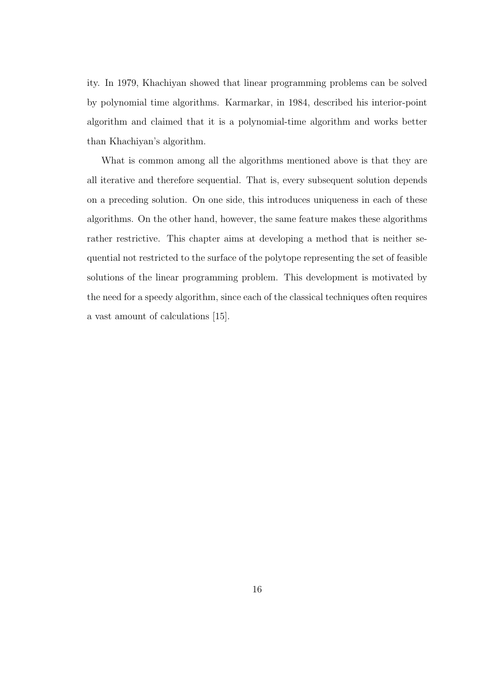ity. In 1979, Khachiyan showed that linear programming problems can be solved by polynomial time algorithms. Karmarkar, in 1984, described his interior-point algorithm and claimed that it is a polynomial-time algorithm and works better than Khachiyan's algorithm.

What is common among all the algorithms mentioned above is that they are all iterative and therefore sequential. That is, every subsequent solution depends on a preceding solution. On one side, this introduces uniqueness in each of these algorithms. On the other hand, however, the same feature makes these algorithms rather restrictive. This chapter aims at developing a method that is neither sequential not restricted to the surface of the polytope representing the set of feasible solutions of the linear programming problem. This development is motivated by the need for a speedy algorithm, since each of the classical techniques often requires a vast amount of calculations [15].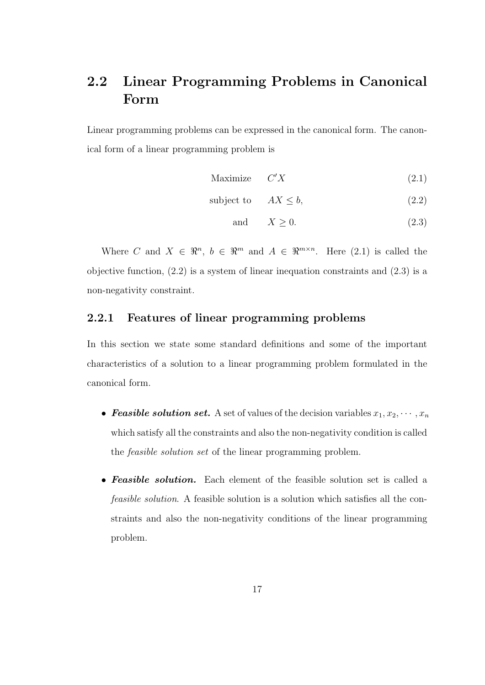# 2.2 Linear Programming Problems in Canonical Form

Linear programming problems can be expressed in the canonical form. The canonical form of a linear programming problem is

$$
Maximize \t C'X \t(2.1)
$$

$$
subject to \tAX \leq b,
$$
\t(2.2)

and 
$$
X \ge 0
$$
. (2.3)

Where C and  $X \in \mathbb{R}^n$ ,  $b \in \mathbb{R}^m$  and  $A \in \mathbb{R}^{m \times n}$ . Here (2.1) is called the objective function, (2.2) is a system of linear inequation constraints and (2.3) is a non-negativity constraint.

### 2.2.1 Features of linear programming problems

In this section we state some standard definitions and some of the important characteristics of a solution to a linear programming problem formulated in the canonical form.

- **Feasible solution set.** A set of values of the decision variables  $x_1, x_2, \dots, x_n$ which satisfy all the constraints and also the non-negativity condition is called the feasible solution set of the linear programming problem.
- Feasible solution. Each element of the feasible solution set is called a feasible solution. A feasible solution is a solution which satisfies all the constraints and also the non-negativity conditions of the linear programming problem.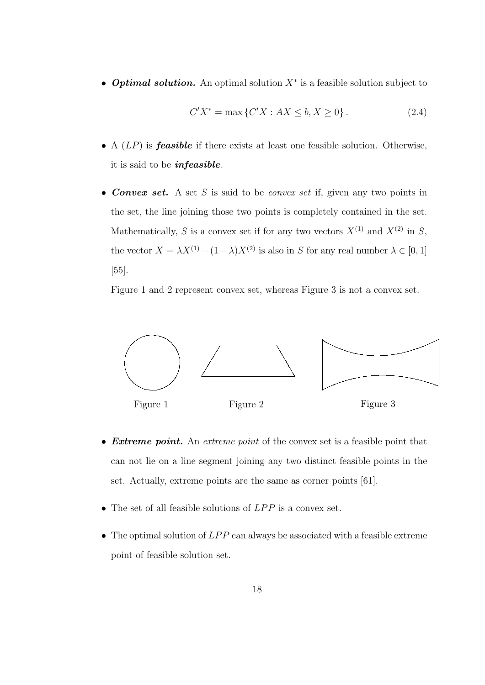• **Optimal solution.** An optimal solution  $X^*$  is a feasible solution subject to

$$
C'X^* = \max\{C'X : AX \le b, X \ge 0\}.
$$
 (2.4)

- A  $(LP)$  is **feasible** if there exists at least one feasible solution. Otherwise, it is said to be infeasible.
- Convex set. A set S is said to be convex set if, given any two points in the set, the line joining those two points is completely contained in the set. Mathematically, S is a convex set if for any two vectors  $X^{(1)}$  and  $X^{(2)}$  in S, the vector  $X = \lambda X^{(1)} + (1 - \lambda)X^{(2)}$  is also in S for any real number  $\lambda \in [0, 1]$ [55].

Figure 1 and 2 represent convex set, whereas Figure 3 is not a convex set.



- Extreme point. An extreme point of the convex set is a feasible point that can not lie on a line segment joining any two distinct feasible points in the set. Actually, extreme points are the same as corner points [61].
- The set of all feasible solutions of  $LPP$  is a convex set.
- The optimal solution of  $LPP$  can always be associated with a feasible extreme point of feasible solution set.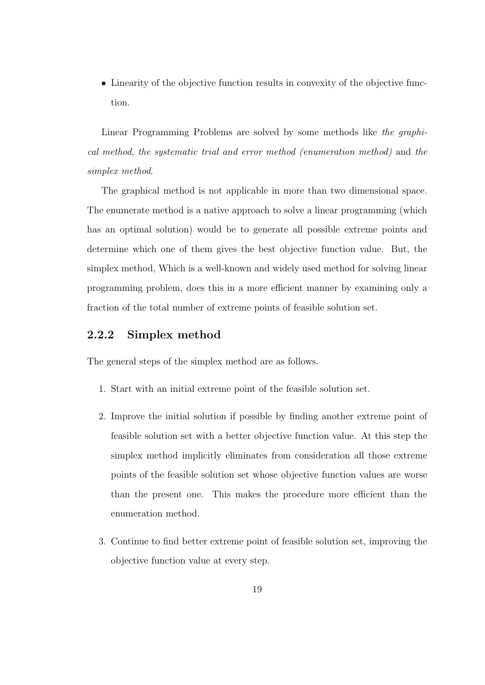• Linearity of the objective function results in convexity of the objective function.

Linear Programming Problems are solved by some methods like the graphical method, the systematic trial and error method (enumeration method) and the simplex method.

The graphical method is not applicable in more than two dimensional space. The enumerate method is a native approach to solve a linear programming (which has an optimal solution) would be to generate all possible extreme points and determine which one of them gives the best objective function value. But, the simplex method, Which is a well-known and widely used method for solving linear programming problem, does this in a more efficient manner by examining only a fraction of the total number of extreme points of feasible solution set.

### 2.2.2 Simplex method

The general steps of the simplex method are as follows.

- 1. Start with an initial extreme point of the feasible solution set.
- 2. Improve the initial solution if possible by finding another extreme point of feasible solution set with a better objective function value. At this step the simplex method implicitly eliminates from consideration all those extreme points of the feasible solution set whose objective function values are worse than the present one. This makes the procedure more efficient than the enumeration method.
- 3. Continue to find better extreme point of feasible solution set, improving the objective function value at every step.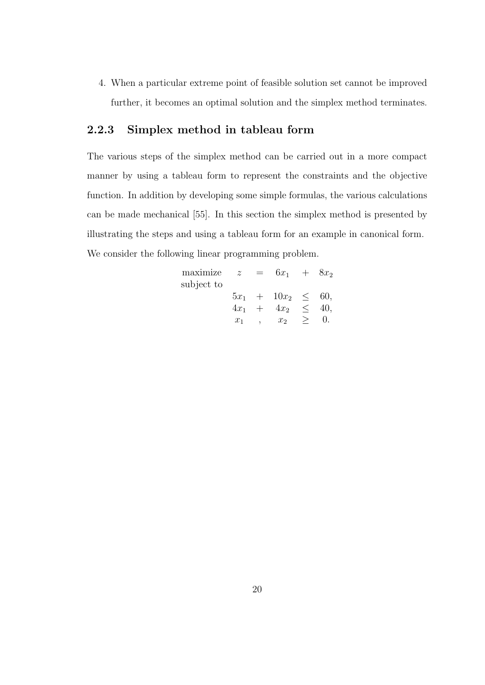4. When a particular extreme point of feasible solution set cannot be improved further, it becomes an optimal solution and the simplex method terminates.

### 2.2.3 Simplex method in tableau form

The various steps of the simplex method can be carried out in a more compact manner by using a tableau form to represent the constraints and the objective function. In addition by developing some simple formulas, the various calculations can be made mechanical [55]. In this section the simplex method is presented by illustrating the steps and using a tableau form for an example in canonical form. We consider the following linear programming problem.

| maximize   | $\mathcal{Z}$ | $=$ | $6x_1 + 8x_2$           |     |
|------------|---------------|-----|-------------------------|-----|
| subject to |               |     |                         |     |
|            |               |     | $5x_1 + 10x_2 \leq 60,$ |     |
|            |               |     | $4x_1 + 4x_2 <$         | 40. |
|            | $x_1$         |     | $x_2$                   |     |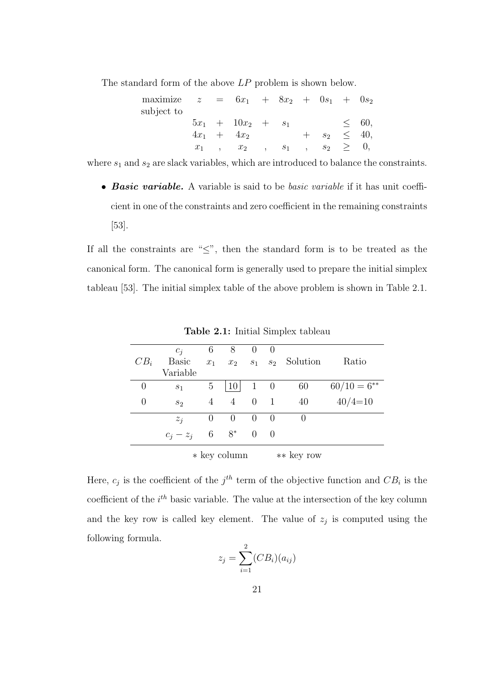The standard form of the above LP problem is shown below.

| maximize z<br>subject to |       | $= 6x_1 + 8x_2 + 0s_1 + 0s_2$ |                      |       |        |       |            |            |
|--------------------------|-------|-------------------------------|----------------------|-------|--------|-------|------------|------------|
|                          |       | $5x_1 + 10x_2 + s_1$          |                      |       |        |       |            | < 60,      |
|                          |       | $4x_1 + 4x_2$                 |                      |       |        | $S_2$ |            | $\leq 40,$ |
|                          | $x_1$ | $\ldots$                      | $\ddot{\phantom{1}}$ | $S_1$ | $\sim$ |       | $s_2 \geq$ | $\theta$ , |

where  $s_1$  and  $s_2$  are slack variables, which are introduced to balance the constraints.

• Basic variable. A variable is said to be basic variable if it has unit coefficient in one of the constraints and zero coefficient in the remaining constraints [53].

If all the constraints are "≤", then the standard form is to be treated as the canonical form. The canonical form is generally used to prepare the initial simplex tableau [53]. The initial simplex table of the above problem is shown in Table 2.1.

|          | $c_i$          | 6     | 8               | $\theta$         | $\cup$ |                      |                  |
|----------|----------------|-------|-----------------|------------------|--------|----------------------|------------------|
| $CB_i$   | <b>Basic</b>   | $x_1$ | $x_2$           |                  |        | $s_1$ $s_2$ Solution | Ratio            |
|          | Variable       |       |                 |                  |        |                      |                  |
| $\theta$ | S <sub>1</sub> | 5     | 10 <sup>1</sup> | $1 \quad 0$      |        | 60                   | $60/10 = 6^{**}$ |
| 0        | $s_2$          | 4     | $\overline{4}$  | $0 \quad 1$      |        | 40                   | $40/4=10$        |
|          | $z_i$          | U     | $\theta$        | $\left( \right)$ | $\cup$ | $\left( \right)$     |                  |
|          | $c_i - z_j$    | 6     | $8^*$           | $0 \quad 0$      |        |                      |                  |
|          |                |       | * key column    |                  |        | ** key row           |                  |

Table 2.1: Initial Simplex tableau

Here,  $c_j$  is the coefficient of the  $j<sup>th</sup>$  term of the objective function and  $CB_i$  is the coefficient of the  $i<sup>th</sup>$  basic variable. The value at the intersection of the key column and the key row is called key element. The value of  $z_j$  is computed using the following formula.

$$
z_j = \sum_{i=1}^2 (CB_i)(a_{ij})
$$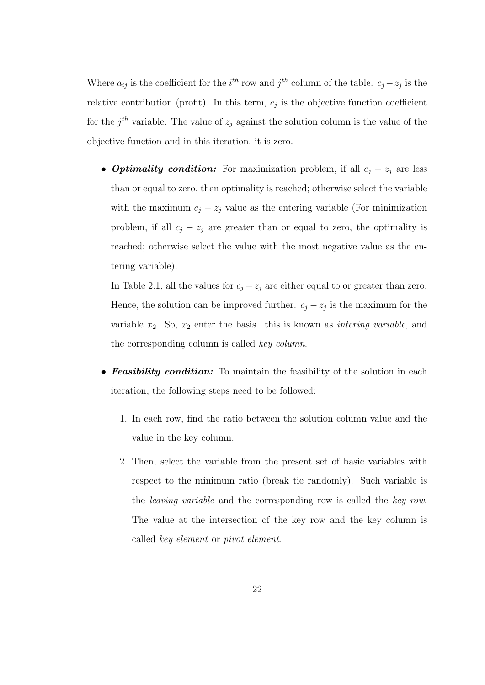Where  $a_{ij}$  is the coefficient for the  $i^{th}$  row and  $j^{th}$  column of the table.  $c_j - z_j$  is the relative contribution (profit). In this term,  $c_j$  is the objective function coefficient for the  $j<sup>th</sup>$  variable. The value of  $z_j$  against the solution column is the value of the objective function and in this iteration, it is zero.

• **Optimality condition:** For maximization problem, if all  $c_j - z_j$  are less than or equal to zero, then optimality is reached; otherwise select the variable with the maximum  $c_j - z_j$  value as the entering variable (For minimization problem, if all  $c_j - z_j$  are greater than or equal to zero, the optimality is reached; otherwise select the value with the most negative value as the entering variable).

In Table 2.1, all the values for  $c_j - z_j$  are either equal to or greater than zero. Hence, the solution can be improved further.  $c_j - z_j$  is the maximum for the variable  $x_2$ . So,  $x_2$  enter the basis. this is known as *intering variable*, and the corresponding column is called key column.

- **Feasibility condition:** To maintain the feasibility of the solution in each iteration, the following steps need to be followed:
	- 1. In each row, find the ratio between the solution column value and the value in the key column.
	- 2. Then, select the variable from the present set of basic variables with respect to the minimum ratio (break tie randomly). Such variable is the leaving variable and the corresponding row is called the key row. The value at the intersection of the key row and the key column is called key element or pivot element.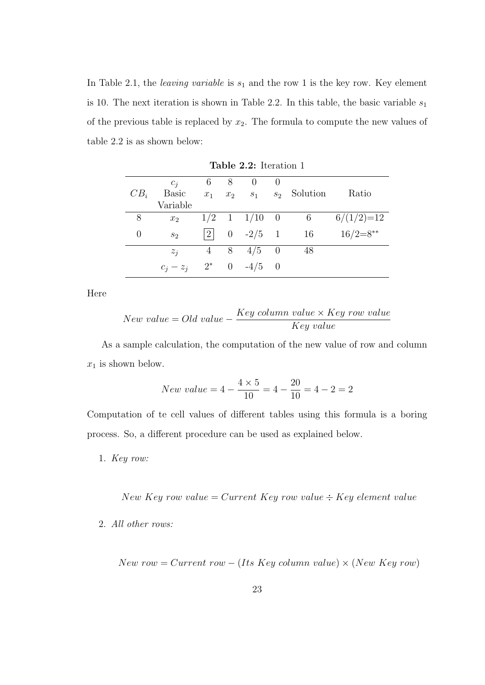In Table 2.1, the *leaving variable* is  $s_1$  and the row 1 is the key row. Key element is 10. The next iteration is shown in Table 2.2. In this table, the basic variable  $s_1$ of the previous table is replaced by  $x_2$ . The formula to compute the new values of table 2.2 is as shown below:

|          | $c_i$                               |       | $6 \quad 8 \quad 0$  | $\hspace{1.6cm} 0$ |                            |              |
|----------|-------------------------------------|-------|----------------------|--------------------|----------------------------|--------------|
| $CB_i$   | <b>Basic</b>                        | $x_1$ |                      |                    | $x_2$ $s_1$ $s_2$ Solution | Ratio        |
|          | Variable                            |       |                      |                    |                            |              |
| 8        | $x_2$                               |       | $1/2$ 1 $1/10$ 0     |                    | $\overline{6}$             | $6/(1/2)=12$ |
| $\theta$ | s <sub>2</sub>                      |       | $ 2 $ 0 $-2/5$ 1 16  |                    |                            | $16/2=8**$   |
|          | $z_i$                               |       | $4 \t 8 \t 4/5 \t 0$ |                    | 48                         |              |
|          | $c_i - z_i$ 2 <sup>*</sup> 0 -4/5 0 |       |                      |                    |                            |              |

Table 2.2: Iteration 1

Here

$$
New\ value = Old\ value - \frac{Key\ column\ value \times Key\ row\ value}{Key\ value}
$$

As a sample calculation, the computation of the new value of row and column  $x_1$  is shown below.

$$
New\ value = 4 - \frac{4 \times 5}{10} = 4 - \frac{20}{10} = 4 - 2 = 2
$$

Computation of te cell values of different tables using this formula is a boring process. So, a different procedure can be used as explained below.

1. Key row:

New Key row value = Current Key row value  $\div$  Key element value

2. All other rows:

New row = Current row − (Its Key column value)  $\times$  (New Key row)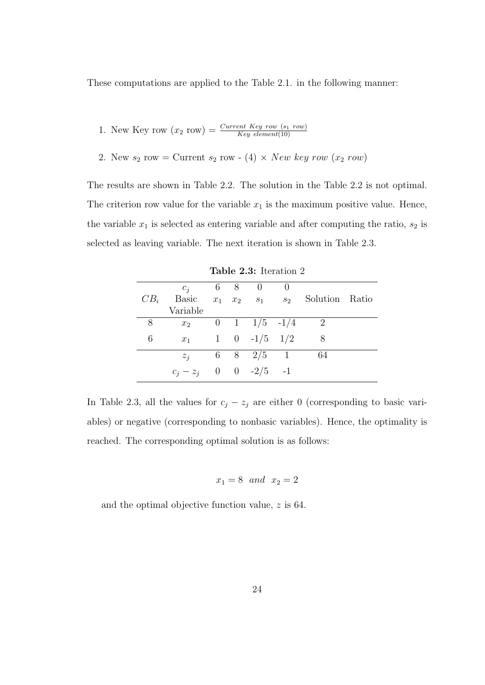These computations are applied to the Table 2.1. in the following manner:

1. New Key row 
$$
(x_2 \text{ row}) = \frac{Current \; Key \; row \; (s_1 \; row)}{Key \; element(10)}
$$

2. New  $s_2$  row = Current  $s_2$  row - (4)  $\times$  New key row  $(x_2$  row)

The results are shown in Table 2.2. The solution in the Table 2.2 is not optimal. The criterion row value for the variable  $x_1$  is the maximum positive value. Hence, the variable  $x_1$  is selected as entering variable and after computing the ratio,  $s_2$  is selected as leaving variable. The next iteration is shown in Table 2.3.

|        | $c_i$ 6 8 0                   |  |                         | $\overline{0}$ |                            |  |
|--------|-------------------------------|--|-------------------------|----------------|----------------------------|--|
| $CB_i$ | <b>Basic</b>                  |  | $x_1$ $x_2$ $s_1$ $s_2$ |                | Solution Ratio             |  |
|        | Variable                      |  |                         |                |                            |  |
| 8      | $x_2$                         |  | 0 1 $1/5$ -1/4          |                | $\overline{\phantom{0}}^2$ |  |
| 6      | $x_1$                         |  | 1 0 $-1/5$ 1/2          |                | 8                          |  |
|        | $z_i$                         |  | 6 8 $2/5$ 1             |                | 64                         |  |
|        | $c_i - z_i = 0 = 0 -2/5 = -1$ |  |                         |                |                            |  |

Table 2.3: Iteration 2

In Table 2.3, all the values for  $c_j - z_j$  are either 0 (corresponding to basic variables) or negative (corresponding to nonbasic variables). Hence, the optimality is reached. The corresponding optimal solution is as follows:

$$
x_1 = 8 \quad and \quad x_2 = 2
$$

and the optimal objective function value, z is 64.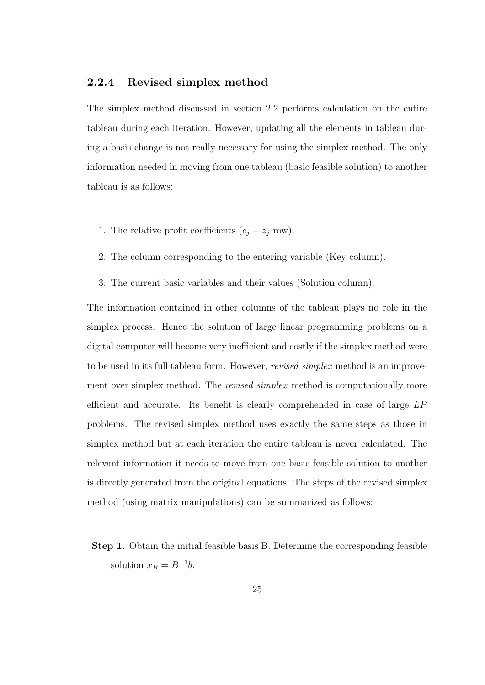#### 2.2.4 Revised simplex method

The simplex method discussed in section 2.2 performs calculation on the entire tableau during each iteration. However, updating all the elements in tableau during a basis change is not really necessary for using the simplex method. The only information needed in moving from one tableau (basic feasible solution) to another tableau is as follows:

- 1. The relative profit coefficients  $(c_j z_j \text{ row})$ .
- 2. The column corresponding to the entering variable (Key column).
- 3. The current basic variables and their values (Solution column).

The information contained in other columns of the tableau plays no role in the simplex process. Hence the solution of large linear programming problems on a digital computer will become very inefficient and costly if the simplex method were to be used in its full tableau form. However, revised simplex method is an improvement over simplex method. The *revised simplex* method is computationally more efficient and accurate. Its benefit is clearly comprehended in case of large LP problems. The revised simplex method uses exactly the same steps as those in simplex method but at each iteration the entire tableau is never calculated. The relevant information it needs to move from one basic feasible solution to another is directly generated from the original equations. The steps of the revised simplex method (using matrix manipulations) can be summarized as follows:

Step 1. Obtain the initial feasible basis B. Determine the corresponding feasible solution  $x_B = B^{-1}b$ .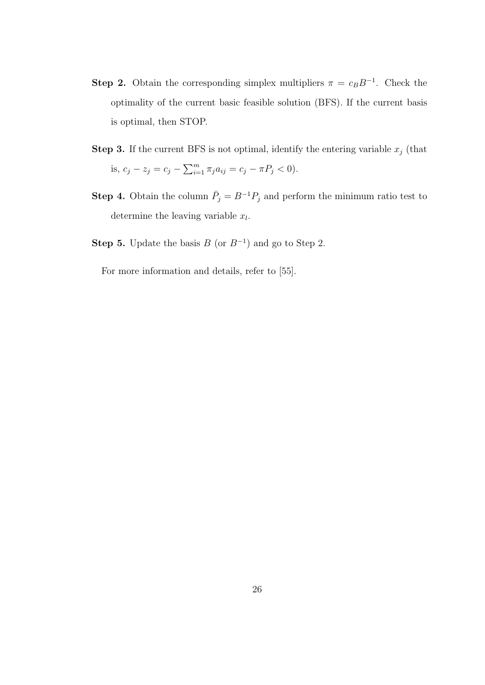- **Step 2.** Obtain the corresponding simplex multipliers  $\pi = c_B B^{-1}$ . Check the optimality of the current basic feasible solution (BFS). If the current basis is optimal, then STOP.
- **Step 3.** If the current BFS is not optimal, identify the entering variable  $x_j$  (that is,  $c_j - z_j = c_j - \sum_{i=1}^m \pi_j a_{ij} = c_j - \pi P_j < 0$ .
- **Step 4.** Obtain the column  $\bar{P}_j = B^{-1}P_j$  and perform the minimum ratio test to determine the leaving variable  $x_l$ .
- Step 5. Update the basis  $B$  (or  $B^{-1}$ ) and go to Step 2.

For more information and details, refer to [55].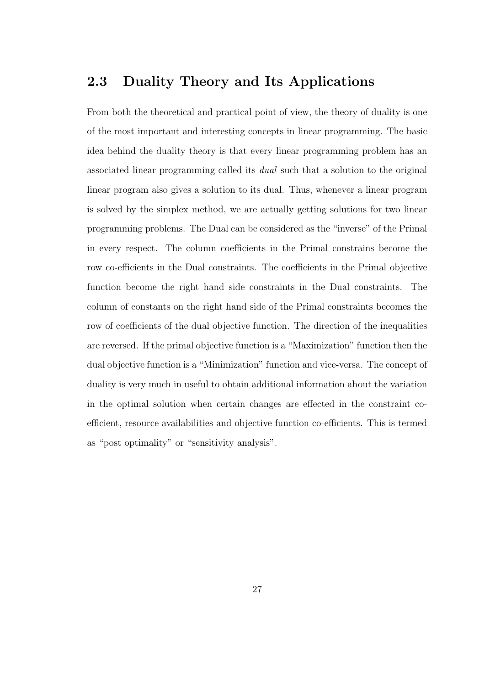# 2.3 Duality Theory and Its Applications

From both the theoretical and practical point of view, the theory of duality is one of the most important and interesting concepts in linear programming. The basic idea behind the duality theory is that every linear programming problem has an associated linear programming called its dual such that a solution to the original linear program also gives a solution to its dual. Thus, whenever a linear program is solved by the simplex method, we are actually getting solutions for two linear programming problems. The Dual can be considered as the "inverse" of the Primal in every respect. The column coefficients in the Primal constrains become the row co-efficients in the Dual constraints. The coefficients in the Primal objective function become the right hand side constraints in the Dual constraints. The column of constants on the right hand side of the Primal constraints becomes the row of coefficients of the dual objective function. The direction of the inequalities are reversed. If the primal objective function is a "Maximization" function then the dual objective function is a "Minimization" function and vice-versa. The concept of duality is very much in useful to obtain additional information about the variation in the optimal solution when certain changes are effected in the constraint coefficient, resource availabilities and objective function co-efficients. This is termed as "post optimality" or "sensitivity analysis".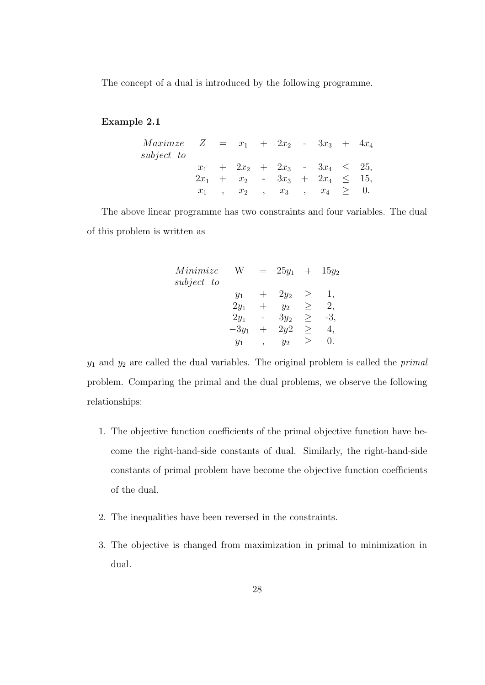The concept of a dual is introduced by the following programme.

#### Example 2.1

| <i>Maximze</i> $Z = x_1 + 2x_2 - 3x_3 + 4x_4$ |  |  |  |                                        |  |
|-----------------------------------------------|--|--|--|----------------------------------------|--|
| subject to                                    |  |  |  |                                        |  |
|                                               |  |  |  | $x_1 + 2x_2 + 2x_3 - 3x_4 \leq 25$     |  |
|                                               |  |  |  | $2x_1 + x_2 - 3x_3 + 2x_4 \leq 15$     |  |
|                                               |  |  |  | $x_1$ , $x_2$ , $x_3$ , $x_4 \geq 0$ . |  |

The above linear programme has two constraints and four variables. The dual of this problem is written as

| Minimize   | $25y_1$ | $\hspace{0.1mm} +$ | $15y_2$ |
|------------|---------|--------------------|---------|
| subject to |         |                    |         |
| $y_1$      | $2y_2$  | $\geq$             | 1,      |
| $2y_1$     | $y_2$   | >                  | 2,      |
| $2y_1$     | $3y_2$  | >                  | -3,     |
| $-3y_1$    | 2y2     | >                  | 4,      |
| $y_1$      | $y_2$   | >                  | 0.      |

 $y_1$  and  $y_2$  are called the dual variables. The original problem is called the *primal* problem. Comparing the primal and the dual problems, we observe the following relationships:

- 1. The objective function coefficients of the primal objective function have become the right-hand-side constants of dual. Similarly, the right-hand-side constants of primal problem have become the objective function coefficients of the dual.
- 2. The inequalities have been reversed in the constraints.
- 3. The objective is changed from maximization in primal to minimization in dual.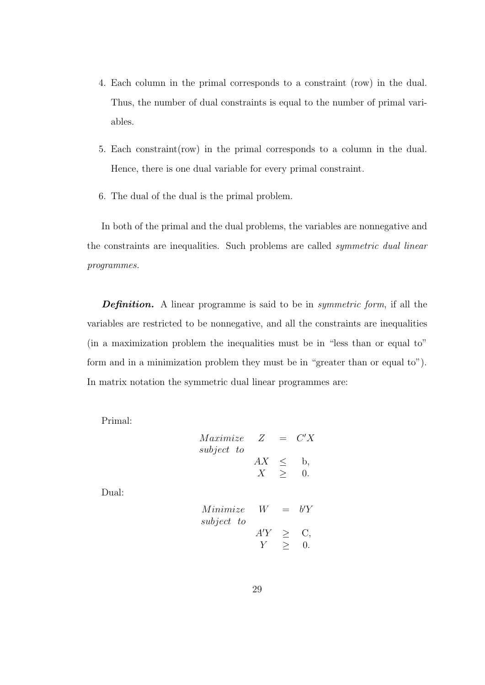- 4. Each column in the primal corresponds to a constraint (row) in the dual. Thus, the number of dual constraints is equal to the number of primal variables.
- 5. Each constraint(row) in the primal corresponds to a column in the dual. Hence, there is one dual variable for every primal constraint.
- 6. The dual of the dual is the primal problem.

In both of the primal and the dual problems, the variables are nonnegative and the constraints are inequalities. Such problems are called symmetric dual linear programmes.

**Definition.** A linear programme is said to be in *symmetric form*, if all the variables are restricted to be nonnegative, and all the constraints are inequalities (in a maximization problem the inequalities must be in "less than or equal to" form and in a minimization problem they must be in "greater than or equal to"). In matrix notation the symmetric dual linear programmes are:

Primal:

| Maximize   | Z  | $=$    | C'X        |
|------------|----|--------|------------|
| subject to |    |        |            |
|            | AX | $\leq$ | b,         |
|            |    |        | $\theta$ . |
|            |    |        |            |

Dual:

| Minimize   | W   | bΎ |
|------------|-----|----|
| subject to |     |    |
|            | A'Y |    |
|            |     |    |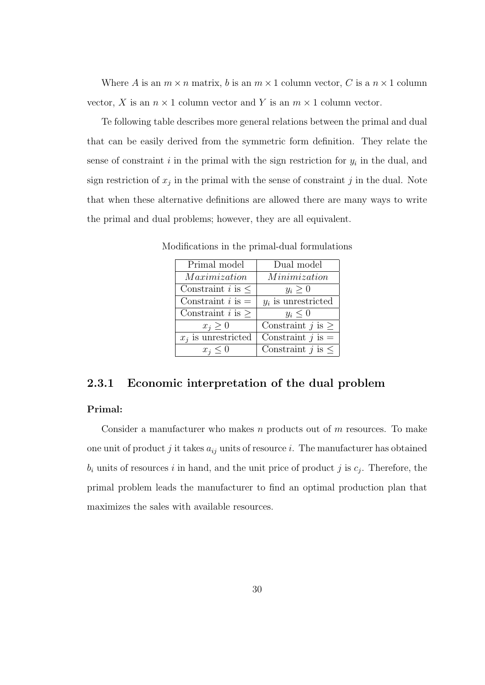Where A is an  $m \times n$  matrix, b is an  $m \times 1$  column vector, C is a  $n \times 1$  column vector, X is an  $n \times 1$  column vector and Y is an  $m \times 1$  column vector.

Te following table describes more general relations between the primal and dual that can be easily derived from the symmetric form definition. They relate the sense of constraint  $i$  in the primal with the sign restriction for  $y_i$  in the dual, and sign restriction of  $x_j$  in the primal with the sense of constraint j in the dual. Note that when these alternative definitions are allowed there are many ways to write the primal and dual problems; however, they are all equivalent.

| Primal model                  | Dual model               |
|-------------------------------|--------------------------|
| Maximization                  | Minimization             |
| Constraint <i>i</i> is $\leq$ | $y_i \geq 0$             |
| Constraint $i$ is $=$         | $y_i$ is unrestricted    |
| Constraint $i$ is $>$         | $y_i \leq 0$             |
| $x_i \geq 0$                  | Constraint $j$ is $>$    |
| $x_i$ is unrestricted         | Constraint $j$ is $=$    |
| $x_i \leq 0$                  | Constraint $j$ is $\leq$ |

Modifications in the primal-dual formulations

### 2.3.1 Economic interpretation of the dual problem

#### Primal:

Consider a manufacturer who makes n products out of  $m$  resources. To make one unit of product j it takes  $a_{ij}$  units of resource i. The manufacturer has obtained  $b_i$  units of resources i in hand, and the unit price of product j is  $c_j$ . Therefore, the primal problem leads the manufacturer to find an optimal production plan that maximizes the sales with available resources.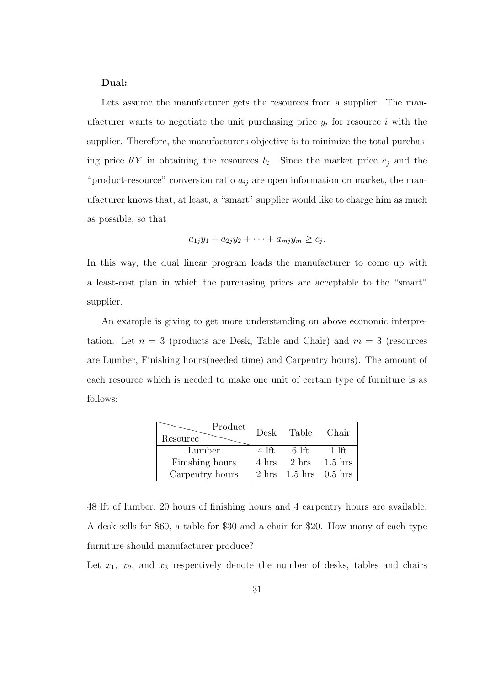#### Dual:

Lets assume the manufacturer gets the resources from a supplier. The manufacturer wants to negotiate the unit purchasing price  $y_i$  for resource i with the supplier. Therefore, the manufacturers objective is to minimize the total purchasing price  $b'Y$  in obtaining the resources  $b_i$ . Since the market price  $c_j$  and the "product-resource" conversion ratio  $a_{ij}$  are open information on market, the manufacturer knows that, at least, a "smart" supplier would like to charge him as much as possible, so that

$$
a_{1j}y_1 + a_{2j}y_2 + \cdots + a_{mj}y_m \geq c_j.
$$

In this way, the dual linear program leads the manufacturer to come up with a least-cost plan in which the purchasing prices are acceptable to the "smart" supplier.

An example is giving to get more understanding on above economic interpretation. Let  $n = 3$  (products are Desk, Table and Chair) and  $m = 3$  (resources are Lumber, Finishing hours(needed time) and Carpentry hours). The amount of each resource which is needed to make one unit of certain type of furniture is as follows:

| Product<br>Resource | Desk  | Table | Chair               |
|---------------------|-------|-------|---------------------|
| Lumber              | 4 lft | 6 lft | 1 lft.              |
| Finishing hours     | 4 hrs | 2 hrs | $1.5$ hrs           |
| Carpentry hours     | 2 hrs |       | $1.5$ hrs $0.5$ hrs |

48 lft of lumber, 20 hours of finishing hours and 4 carpentry hours are available. A desk sells for \$60, a table for \$30 and a chair for \$20. How many of each type furniture should manufacturer produce?

Let  $x_1$ ,  $x_2$ , and  $x_3$  respectively denote the number of desks, tables and chairs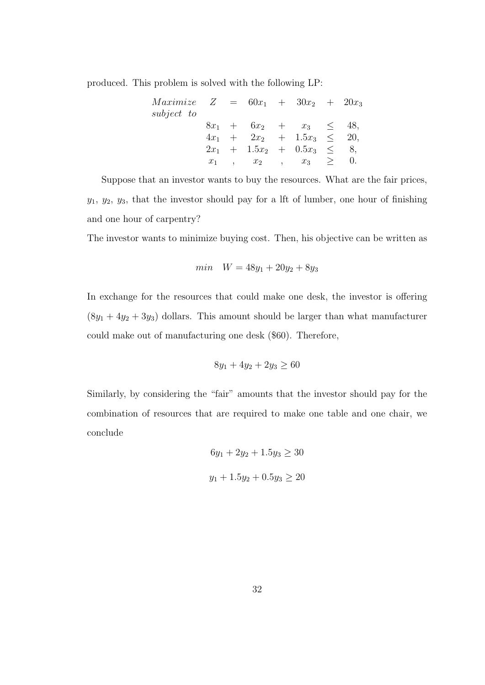produced. This problem is solved with the following LP:

| $Maximize \quad Z = 60x_1 + 30x_2 + 20x_3$ |  |  |                                 |  |
|--------------------------------------------|--|--|---------------------------------|--|
| subject to                                 |  |  |                                 |  |
|                                            |  |  | $8x_1 + 6x_2 + x_3 \leq 48$     |  |
|                                            |  |  | $4x_1 + 2x_2 + 1.5x_3 \leq 20$  |  |
|                                            |  |  | $2x_1 + 1.5x_2 + 0.5x_3 \leq 8$ |  |
|                                            |  |  | $x_1$ , $x_2$ , $x_3$ $\geq$    |  |

Suppose that an investor wants to buy the resources. What are the fair prices,  $y_1, y_2, y_3$ , that the investor should pay for a lft of lumber, one hour of finishing and one hour of carpentry?

The investor wants to minimize buying cost. Then, his objective can be written as

$$
min \quad W = 48y_1 + 20y_2 + 8y_3
$$

In exchange for the resources that could make one desk, the investor is offering  $(8y_1 + 4y_2 + 3y_3)$  dollars. This amount should be larger than what manufacturer could make out of manufacturing one desk (\$60). Therefore,

$$
8y_1 + 4y_2 + 2y_3 \ge 60
$$

Similarly, by considering the "fair" amounts that the investor should pay for the combination of resources that are required to make one table and one chair, we conclude

$$
6y_1 + 2y_2 + 1.5y_3 \ge 30
$$
  

$$
y_1 + 1.5y_2 + 0.5y_3 \ge 20
$$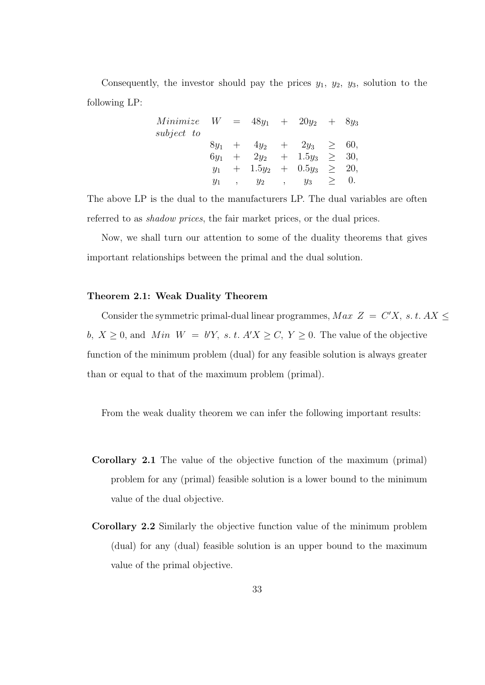Consequently, the investor should pay the prices  $y_1$ ,  $y_2$ ,  $y_3$ , solution to the following LP:

| <i>Minimize</i> $W = 48y_1 + 20y_2 + 8y_3$ |        |                     |        |                               |        |            |
|--------------------------------------------|--------|---------------------|--------|-------------------------------|--------|------------|
| subject to                                 |        |                     |        |                               |        |            |
|                                            |        |                     |        | $8y_1 + 4y_2 + 2y_3 \geq 60,$ |        |            |
|                                            | $6y_1$ | $+$ 2y <sub>2</sub> |        | $+ 1.5y_3 \geq 30,$           |        |            |
|                                            | $y_1$  |                     |        | $+ 1.5y_2 + 0.5y_3 \geq 20,$  |        |            |
|                                            | $y_1$  | $y_2$               | $\sim$ | $y_3$                         | $\geq$ | $\theta$ . |

The above LP is the dual to the manufacturers LP. The dual variables are often referred to as shadow prices, the fair market prices, or the dual prices.

Now, we shall turn our attention to some of the duality theorems that gives important relationships between the primal and the dual solution.

#### Theorem 2.1: Weak Duality Theorem

Consider the symmetric primal-dual linear programmes,  $Max Z = C'X$ , s.t.  $AX \leq$ b,  $X \geq 0$ , and Min  $W = b'Y$ , s. t.  $A'X \geq C$ ,  $Y \geq 0$ . The value of the objective function of the minimum problem (dual) for any feasible solution is always greater than or equal to that of the maximum problem (primal).

From the weak duality theorem we can infer the following important results:

- Corollary 2.1 The value of the objective function of the maximum (primal) problem for any (primal) feasible solution is a lower bound to the minimum value of the dual objective.
- Corollary 2.2 Similarly the objective function value of the minimum problem (dual) for any (dual) feasible solution is an upper bound to the maximum value of the primal objective.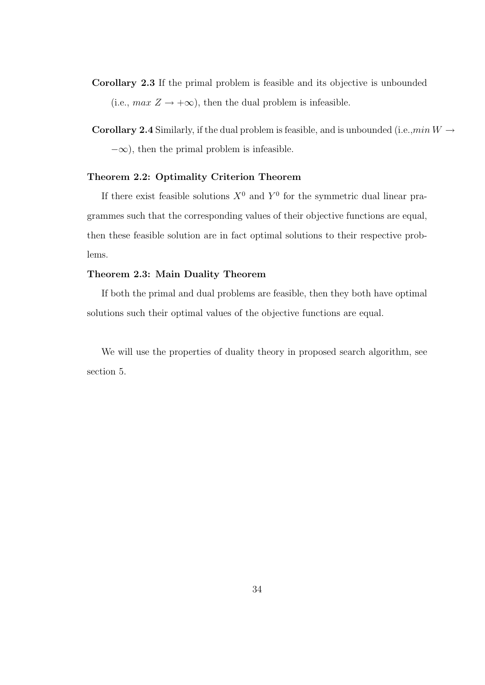- Corollary 2.3 If the primal problem is feasible and its objective is unbounded (i.e.,  $max Z \rightarrow +\infty$ ), then the dual problem is infeasible.
- Corollary 2.4 Similarly, if the dual problem is feasible, and is unbounded (i.e.,  $min W \rightarrow$  $-\infty$ ), then the primal problem is infeasible.

#### Theorem 2.2: Optimality Criterion Theorem

If there exist feasible solutions  $X^0$  and  $Y^0$  for the symmetric dual linear pragrammes such that the corresponding values of their objective functions are equal, then these feasible solution are in fact optimal solutions to their respective problems.

#### Theorem 2.3: Main Duality Theorem

If both the primal and dual problems are feasible, then they both have optimal solutions such their optimal values of the objective functions are equal.

We will use the properties of duality theory in proposed search algorithm, see section 5.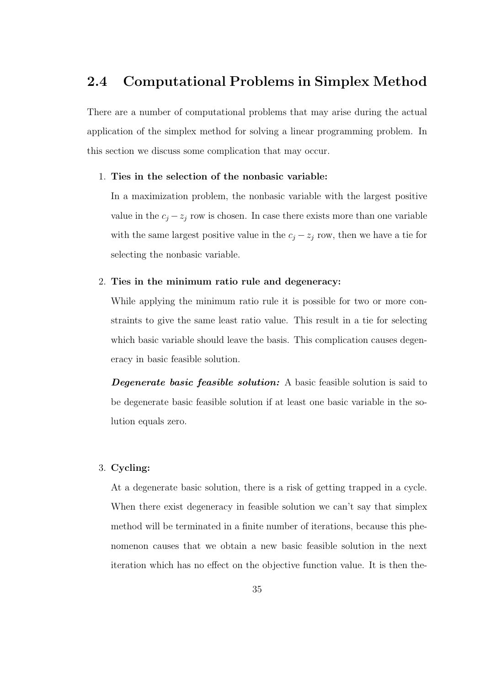# 2.4 Computational Problems in Simplex Method

There are a number of computational problems that may arise during the actual application of the simplex method for solving a linear programming problem. In this section we discuss some complication that may occur.

#### 1. Ties in the selection of the nonbasic variable:

In a maximization problem, the nonbasic variable with the largest positive value in the  $c_j - z_j$  row is chosen. In case there exists more than one variable with the same largest positive value in the  $c_j - z_j$  row, then we have a tie for selecting the nonbasic variable.

#### 2. Ties in the minimum ratio rule and degeneracy:

While applying the minimum ratio rule it is possible for two or more constraints to give the same least ratio value. This result in a tie for selecting which basic variable should leave the basis. This complication causes degeneracy in basic feasible solution.

**Degenerate basic feasible solution:** A basic feasible solution is said to be degenerate basic feasible solution if at least one basic variable in the solution equals zero.

#### 3. Cycling:

At a degenerate basic solution, there is a risk of getting trapped in a cycle. When there exist degeneracy in feasible solution we can't say that simplex method will be terminated in a finite number of iterations, because this phenomenon causes that we obtain a new basic feasible solution in the next iteration which has no effect on the objective function value. It is then the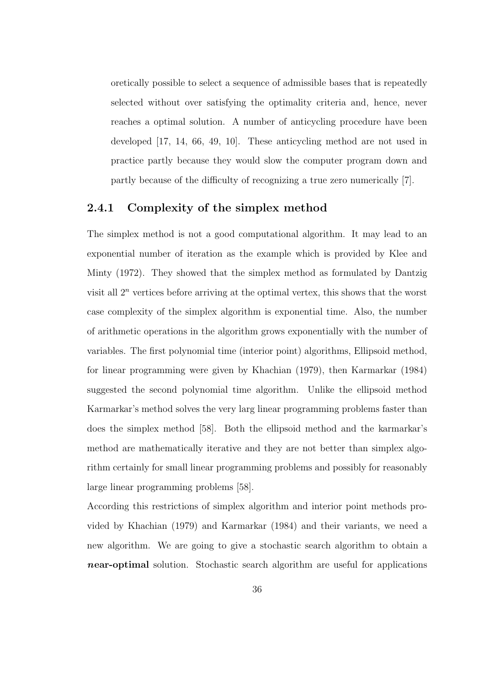oretically possible to select a sequence of admissible bases that is repeatedly selected without over satisfying the optimality criteria and, hence, never reaches a optimal solution. A number of anticycling procedure have been developed [17, 14, 66, 49, 10]. These anticycling method are not used in practice partly because they would slow the computer program down and partly because of the difficulty of recognizing a true zero numerically [7].

### 2.4.1 Complexity of the simplex method

The simplex method is not a good computational algorithm. It may lead to an exponential number of iteration as the example which is provided by Klee and Minty (1972). They showed that the simplex method as formulated by Dantzig visit all  $2^n$  vertices before arriving at the optimal vertex, this shows that the worst case complexity of the simplex algorithm is exponential time. Also, the number of arithmetic operations in the algorithm grows exponentially with the number of variables. The first polynomial time (interior point) algorithms, Ellipsoid method, for linear programming were given by Khachian (1979), then Karmarkar (1984) suggested the second polynomial time algorithm. Unlike the ellipsoid method Karmarkar's method solves the very larg linear programming problems faster than does the simplex method [58]. Both the ellipsoid method and the karmarkar's method are mathematically iterative and they are not better than simplex algorithm certainly for small linear programming problems and possibly for reasonably large linear programming problems [58].

According this restrictions of simplex algorithm and interior point methods provided by Khachian (1979) and Karmarkar (1984) and their variants, we need a new algorithm. We are going to give a stochastic search algorithm to obtain a near-optimal solution. Stochastic search algorithm are useful for applications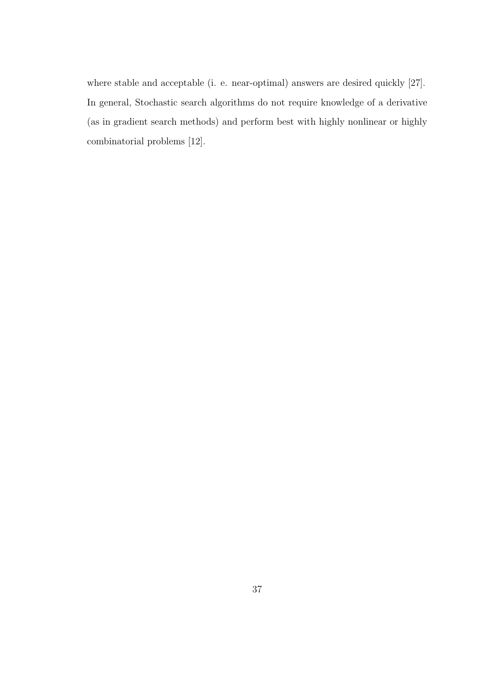where stable and acceptable (i. e. near-optimal) answers are desired quickly [27]. In general, Stochastic search algorithms do not require knowledge of a derivative (as in gradient search methods) and perform best with highly nonlinear or highly combinatorial problems [12].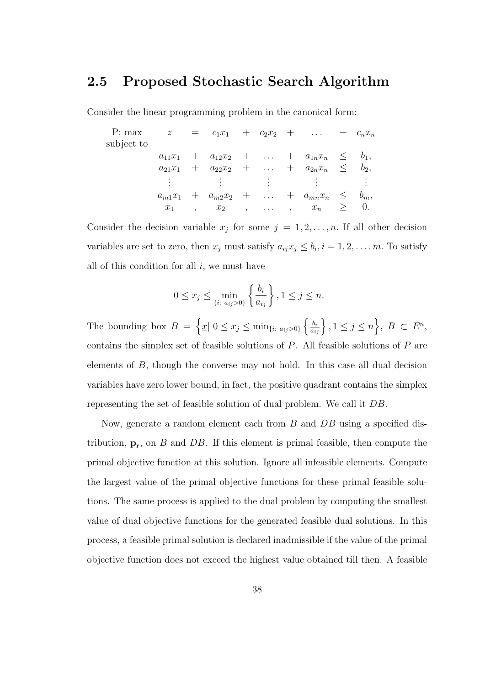# 2.5 Proposed Stochastic Search Algorithm

Consider the linear programming problem in the canonical form:

| P: max     | z           |       |                                          | $= c_1x_1 + c_2x_2 + \ldots + c_nx_n$                                   |        |         |
|------------|-------------|-------|------------------------------------------|-------------------------------------------------------------------------|--------|---------|
| subject to |             |       |                                          |                                                                         |        |         |
|            | $a_{11}x_1$ |       |                                          | $+ a_{12}x_2 + \ldots + a_{1n}x_n \leq$                                 |        | $b_1$ , |
|            |             |       |                                          | $a_{21}x_1 + a_{22}x_2 + \ldots + a_{2n}x_n \leq$                       |        | $b_2$ , |
|            |             |       | $\frac{1}{2}$ . The set of $\mathcal{L}$ |                                                                         |        |         |
|            |             |       |                                          | $a_{m1}x_1 + a_{m2}x_2 + \ldots + a_{mn}x_n \leq$                       |        | $b_m$ , |
|            | $x_1$       | $x_2$ |                                          | $\, \cdot \, \cdot \, \cdot \, \cdot \, \cdot \, \cdot \, \cdot \, x_n$ | $\geq$ |         |

Consider the decision variable  $x_j$  for some  $j = 1, 2, ..., n$ . If all other decision variables are set to zero, then  $x_j$  must satisfy  $a_{ij}x_j \leq b_i, i = 1, 2, \ldots, m$ . To satisfy all of this condition for all  $i$ , we must have

$$
0 \le x_j \le \min_{\{i: \ a_{ij} > 0\}} \left\{ \frac{b_i}{a_{ij}} \right\}, 1 \le j \le n.
$$

The bounding box  $B = \left\{ \underline{x} \middle| 0 \leq x_j \leq \min_{\{i: a_{ij} > 0\}} \left\{ \frac{b_i}{a_{ij}} \right\}, 1 \leq j \leq n \right\}, B \subset E^n$ contains the simplex set of feasible solutions of  $P$ . All feasible solutions of  $P$  are elements of B, though the converse may not hold. In this case all dual decision variables have zero lower bound, in fact, the positive quadrant contains the simplex representing the set of feasible solution of dual problem. We call it DB.

Now, generate a random element each from B and DB using a specified distribution,  $\mathbf{p_r}$ , on B and DB. If this element is primal feasible, then compute the primal objective function at this solution. Ignore all infeasible elements. Compute the largest value of the primal objective functions for these primal feasible solutions. The same process is applied to the dual problem by computing the smallest value of dual objective functions for the generated feasible dual solutions. In this process, a feasible primal solution is declared inadmissible if the value of the primal objective function does not exceed the highest value obtained till then. A feasible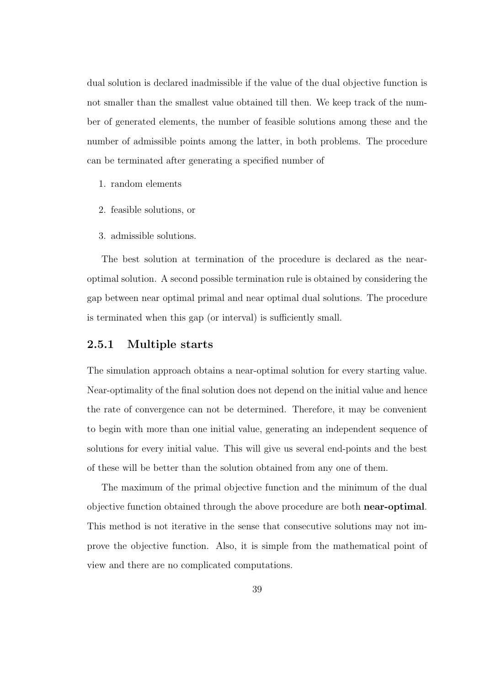dual solution is declared inadmissible if the value of the dual objective function is not smaller than the smallest value obtained till then. We keep track of the number of generated elements, the number of feasible solutions among these and the number of admissible points among the latter, in both problems. The procedure can be terminated after generating a specified number of

- 1. random elements
- 2. feasible solutions, or
- 3. admissible solutions.

The best solution at termination of the procedure is declared as the nearoptimal solution. A second possible termination rule is obtained by considering the gap between near optimal primal and near optimal dual solutions. The procedure is terminated when this gap (or interval) is sufficiently small.

#### 2.5.1 Multiple starts

The simulation approach obtains a near-optimal solution for every starting value. Near-optimality of the final solution does not depend on the initial value and hence the rate of convergence can not be determined. Therefore, it may be convenient to begin with more than one initial value, generating an independent sequence of solutions for every initial value. This will give us several end-points and the best of these will be better than the solution obtained from any one of them.

The maximum of the primal objective function and the minimum of the dual objective function obtained through the above procedure are both near-optimal. This method is not iterative in the sense that consecutive solutions may not improve the objective function. Also, it is simple from the mathematical point of view and there are no complicated computations.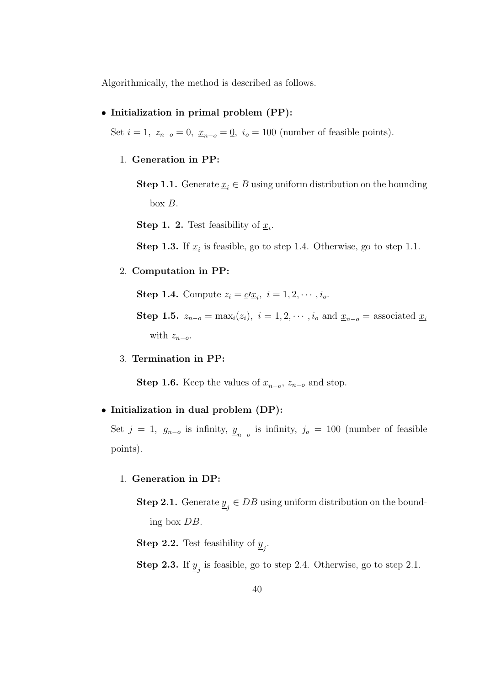Algorithmically, the method is described as follows.

#### • Initialization in primal problem (PP):

Set  $i = 1$ ,  $z_{n-o} = 0$ ,  $\underline{x}_{n-o} = \underline{0}$ ,  $i_o = 100$  (number of feasible points).

#### 1. Generation in PP:

**Step 1.1.** Generate  $\underline{x}_i \in B$  using uniform distribution on the bounding box  $B$ .

**Step 1. 2.** Test feasibility of  $\underline{x}_i$ .

**Step 1.3.** If  $\underline{x}_i$  is feasible, go to step 1.4. Otherwise, go to step 1.1.

#### 2. Computation in PP:

**Step 1.4.** Compute  $z_i = \underline{c'}\underline{x}_i$ ,  $i = 1, 2, \dots, i_o$ .

Step 1.5.  $z_{n-o} = \max_i(z_i)$ ,  $i = 1, 2, \cdots, i_o$  and  $\underline{x}_{n-o} =$  associated  $\underline{x}_i$ with  $z_{n-o}$ .

3. Termination in PP:

**Step 1.6.** Keep the values of  $\underline{x}_{n-o}$ ,  $z_{n-o}$  and stop.

#### • Initialization in dual problem (DP):

Set  $j = 1$ ,  $g_{n-o}$  is infinity,  $\underline{y}_{n-o}$  is infinity,  $j_o = 100$  (number of feasible points).

#### 1. Generation in DP:

**Step 2.1.** Generate  $\underline{y}_j \in DB$  using uniform distribution on the bounding box DB.

**Step 2.2.** Test feasibility of  $\underline{y}_j$ .

**Step 2.3.** If  $\underline{y}_j$  is feasible, go to step 2.4. Otherwise, go to step 2.1.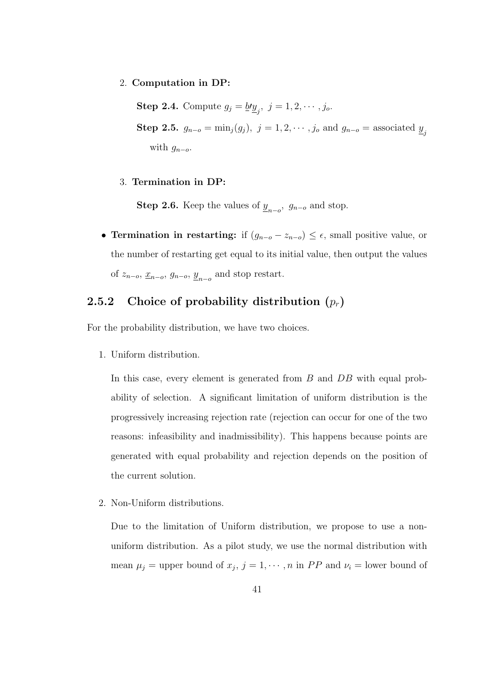2. Computation in DP:

**Step 2.4.** Compute  $g_j = \underline{b} \underline{v}_j$ ,  $j = 1, 2, \dots, j_o$ . Step 2.5.  $g_{n-o} = \min_j(g_j)$ ,  $j = 1, 2, \dots, j_o$  and  $g_{n-o} =$  associated  $\underline{y}_j$ with  $g_{n-o}$ .

3. Termination in DP:

**Step 2.6.** Keep the values of  $\underline{y}_{n-o}$ ,  $g_{n-o}$  and stop.

• Termination in restarting: if  $(g_{n-o} - z_{n-o}) \leq \epsilon$ , small positive value, or the number of restarting get equal to its initial value, then output the values of  $z_{n-o}$ ,  $\underline{x}_{n-o}$ ,  $\underline{y}_{n-o}$ ,  $\underline{y}_{n-o}$  and stop restart.

# 2.5.2 Choice of probability distribution  $(p_r)$

For the probability distribution, we have two choices.

1. Uniform distribution.

In this case, every element is generated from B and DB with equal probability of selection. A significant limitation of uniform distribution is the progressively increasing rejection rate (rejection can occur for one of the two reasons: infeasibility and inadmissibility). This happens because points are generated with equal probability and rejection depends on the position of the current solution.

2. Non-Uniform distributions.

Due to the limitation of Uniform distribution, we propose to use a nonuniform distribution. As a pilot study, we use the normal distribution with mean  $\mu_j$  = upper bound of  $x_j$ ,  $j = 1, \dots, n$  in PP and  $\nu_i$  = lower bound of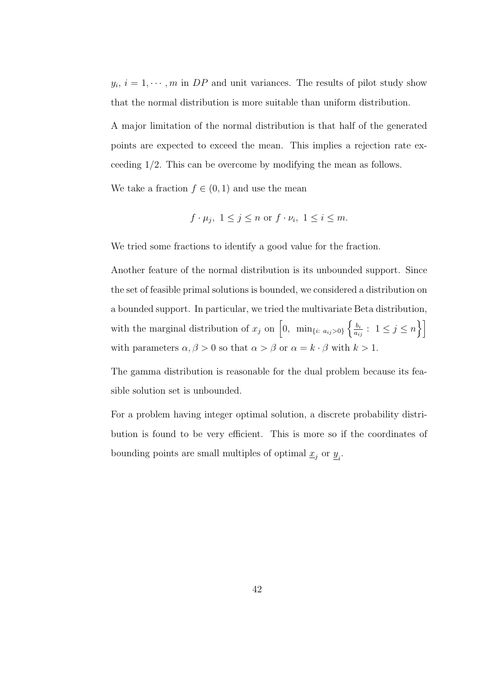$y_i, i = 1, \dots, m$  in DP and unit variances. The results of pilot study show that the normal distribution is more suitable than uniform distribution.

A major limitation of the normal distribution is that half of the generated points are expected to exceed the mean. This implies a rejection rate exceeding 1/2. This can be overcome by modifying the mean as follows.

We take a fraction  $f \in (0,1)$  and use the mean

$$
f \cdot \mu_j
$$
,  $1 \leq j \leq n$  or  $f \cdot \nu_i$ ,  $1 \leq i \leq m$ .

We tried some fractions to identify a good value for the fraction.

Another feature of the normal distribution is its unbounded support. Since the set of feasible primal solutions is bounded, we considered a distribution on a bounded support. In particular, we tried the multivariate Beta distribution, with the marginal distribution of  $x_j$  on  $\left[0, \min_{\{i: a_{ij}>0\}} \left\{\frac{b_i}{a_i}\right\}\right]$  $\frac{b_i}{a_{ij}}: 1 \leq j \leq n \bigg\}$ with parameters  $\alpha, \beta > 0$  so that  $\alpha > \beta$  or  $\alpha = k \cdot \beta$  with  $k > 1$ .

The gamma distribution is reasonable for the dual problem because its feasible solution set is unbounded.

For a problem having integer optimal solution, a discrete probability distribution is found to be very efficient. This is more so if the coordinates of bounding points are small multiples of optimal  $\underline{x}_j$  or<br>  $\underline{y}_i.$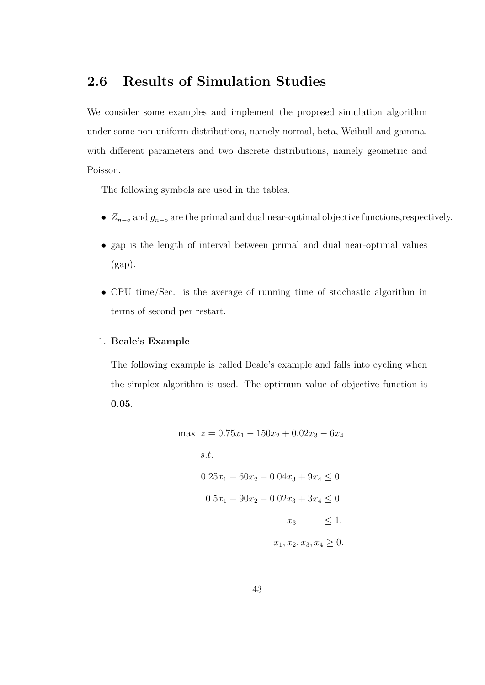# 2.6 Results of Simulation Studies

We consider some examples and implement the proposed simulation algorithm under some non-uniform distributions, namely normal, beta, Weibull and gamma, with different parameters and two discrete distributions, namely geometric and Poisson.

The following symbols are used in the tables.

- $Z_{n-o}$  and  $g_{n-o}$  are the primal and dual near-optimal objective functions,respectively.
- gap is the length of interval between primal and dual near-optimal values (gap).
- CPU time/Sec. is the average of running time of stochastic algorithm in terms of second per restart.

#### 1. Beale's Example

The following example is called Beale's example and falls into cycling when the simplex algorithm is used. The optimum value of objective function is 0.05.

$$
\max z = 0.75x_1 - 150x_2 + 0.02x_3 - 6x_4
$$
  
s.t.  

$$
0.25x_1 - 60x_2 - 0.04x_3 + 9x_4 \le 0,
$$
  

$$
0.5x_1 - 90x_2 - 0.02x_3 + 3x_4 \le 0,
$$
  

$$
x_3 \le 1,
$$
  

$$
x_1, x_2, x_3, x_4 \ge 0.
$$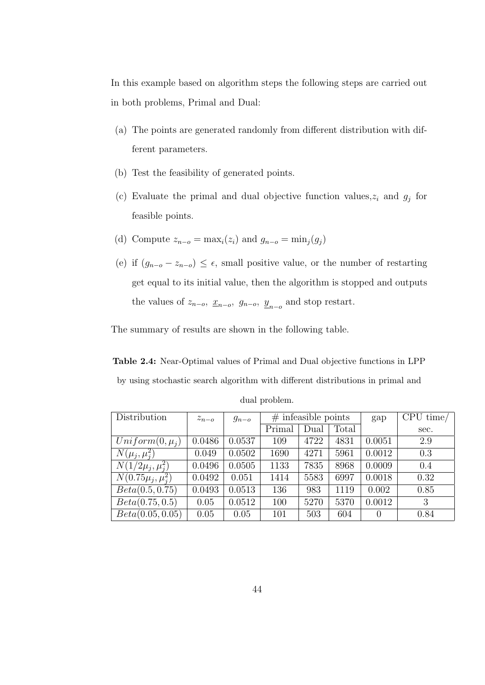In this example based on algorithm steps the following steps are carried out in both problems, Primal and Dual:

- (a) The points are generated randomly from different distribution with different parameters.
- (b) Test the feasibility of generated points.
- (c) Evaluate the primal and dual objective function values,  $z_i$  and  $g_j$  for feasible points.
- (d) Compute  $z_{n-o} = \max_i(z_i)$  and  $g_{n-o} = \min_i(g_i)$
- (e) if  $(g_{n-o} z_{n-o}) \leq \epsilon$ , small positive value, or the number of restarting get equal to its initial value, then the algorithm is stopped and outputs the values of  $z_{n-o}$ ,  $\underline{x}_{n-o}$ ,  $g_{n-o}$ ,  $\underline{y}_{n-o}$  and stop restart.

The summary of results are shown in the following table.

Table 2.4: Near-Optimal values of Primal and Dual objective functions in LPP by using stochastic search algorithm with different distributions in primal and

| Distribution                  | $z_{n-o}$ | $g_{n-o}$ |        | $#$ infeasible points |       | gap    | CPU time/ |
|-------------------------------|-----------|-----------|--------|-----------------------|-------|--------|-----------|
|                               |           |           | Primal | Dual                  | Total |        | sec.      |
| $Uniform(0, \mu_i)$           | 0.0486    | 0.0537    | 109    | 4722                  | 4831  | 0.0051 | 2.9       |
| $N(\mu_i, \mu_i^2)$           | 0.049     | 0.0502    | 1690   | 4271                  | 5961  | 0.0012 | 0.3       |
| $N(1/2\mu_i, \mu_i^2)$        | 0.0496    | 0.0505    | 1133   | 7835                  | 8968  | 0.0009 | 0.4       |
| $N(0.75\mu_{j}, \mu_{i}^{2})$ | 0.0492    | 0.051     | 1414   | 5583                  | 6997  | 0.0018 | 0.32      |
| Beta(0.5, 0.75)               | 0.0493    | 0.0513    | 136    | 983                   | 1119  | 0.002  | 0.85      |
| Beta(0.75, 0.5)               | 0.05      | 0.0512    | 100    | 5270                  | 5370  | 0.0012 | 3         |
| Beta(0.05, 0.05)              | 0.05      | 0.05      | 101    | 503                   | 604   | 0      | 0.84      |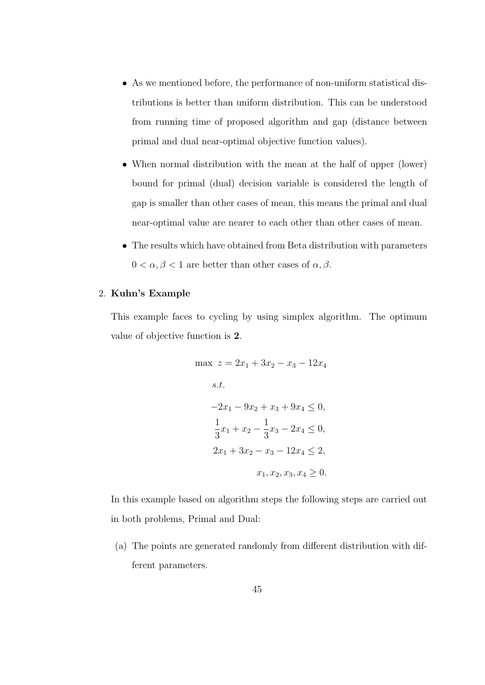- As we mentioned before, the performance of non-uniform statistical distributions is better than uniform distribution. This can be understood from running time of proposed algorithm and gap (distance between primal and dual near-optimal objective function values).
- When normal distribution with the mean at the half of upper (lower) bound for primal (dual) decision variable is considered the length of gap is smaller than other cases of mean, this means the primal and dual near-optimal value are nearer to each other than other cases of mean.
- The results which have obtained from Beta distribution with parameters  $0 < \alpha, \beta < 1$  are better than other cases of  $\alpha, \beta$ .

#### 2. Kuhn's Example

This example faces to cycling by using simplex algorithm. The optimum value of objective function is 2.

$$
\max z = 2x_1 + 3x_2 - x_3 - 12x_4
$$
  
s.t.  

$$
-2x_1 - 9x_2 + x_3 + 9x_4 \le 0,
$$
  

$$
\frac{1}{3}x_1 + x_2 - \frac{1}{3}x_3 - 2x_4 \le 0,
$$
  

$$
2x_1 + 3x_2 - x_3 - 12x_4 \le 2,
$$
  

$$
x_1, x_2, x_3, x_4 \ge 0.
$$

In this example based on algorithm steps the following steps are carried out in both problems, Primal and Dual:

(a) The points are generated randomly from different distribution with different parameters.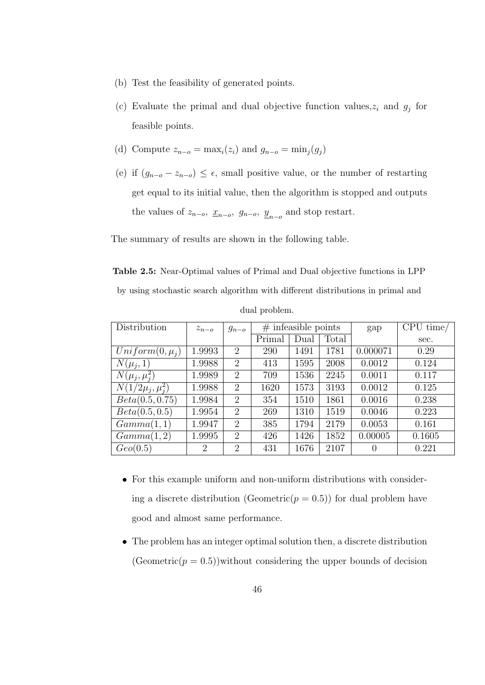- (b) Test the feasibility of generated points.
- (c) Evaluate the primal and dual objective function values,  $z_i$  and  $g_j$  for feasible points.
- (d) Compute  $z_{n-o} = \max_i(z_i)$  and  $g_{n-o} = \min_i(q_i)$
- (e) if  $(g_{n-o} z_{n-o}) \leq \epsilon$ , small positive value, or the number of restarting get equal to its initial value, then the algorithm is stopped and outputs the values of  $z_{n-o}$ ,  $\underline{x}_{n-o}$ ,  $g_{n-o}$ ,  $\underline{y}_{n-o}$  and stop restart.

The summary of results are shown in the following table.

Table 2.5: Near-Optimal values of Primal and Dual objective functions in LPP

by using stochastic search algorithm with different distributions in primal and

| Distribution           | $z_{n-o}$      | $g_{n-o}$                   | $#$ infeasible points |      |       | gap      | CPU time/ |
|------------------------|----------------|-----------------------------|-----------------------|------|-------|----------|-----------|
|                        |                |                             | Primal                | Dual | Total |          | sec.      |
| $Uniform(0, \mu_i)$    | 1.9993         | $\overline{2}$              | 290                   | 1491 | 1781  | 0.000071 | 0.29      |
| $N(\mu_i, 1)$          | 1.9988         | $\overline{2}$              | 413                   | 1595 | 2008  | 0.0012   | 0.124     |
| $N(\mu_i, \mu_i^2)$    | 1.9989         | $\overline{2}$              | 709                   | 1536 | 2245  | 0.0011   | 0.117     |
| $N(1/2\mu_j, \mu_i^2)$ | 1.9988         | $\overline{2}$              | 1620                  | 1573 | 3193  | 0.0012   | 0.125     |
| Beta(0.5, 0.75)        | 1.9984         | $\overline{2}$              | 354                   | 1510 | 1861  | 0.0016   | 0.238     |
| Beta(0.5, 0.5)         | 1.9954         | $\overline{2}$              | 269                   | 1310 | 1519  | 0.0046   | 0.223     |
| Gamma(1,1)             | 1.9947         | $\overline{2}$              | 385                   | 1794 | 2179  | 0.0053   | 0.161     |
| Gamma(1,2)             | 1.9995         | $\overline{2}$              | 426                   | 1426 | 1852  | 0.00005  | 0.1605    |
| Geo(0.5)               | $\overline{2}$ | $\mathcal{D}_{\mathcal{L}}$ | 431                   | 1676 | 2107  | $\theta$ | 0.221     |

dual problem.

- For this example uniform and non-uniform distributions with considering a discrete distribution (Geometric $(p = 0.5)$ ) for dual problem have good and almost same performance.
- The problem has an integer optimal solution then, a discrete distribution  $(Geometric(p = 0.5))$  without considering the upper bounds of decision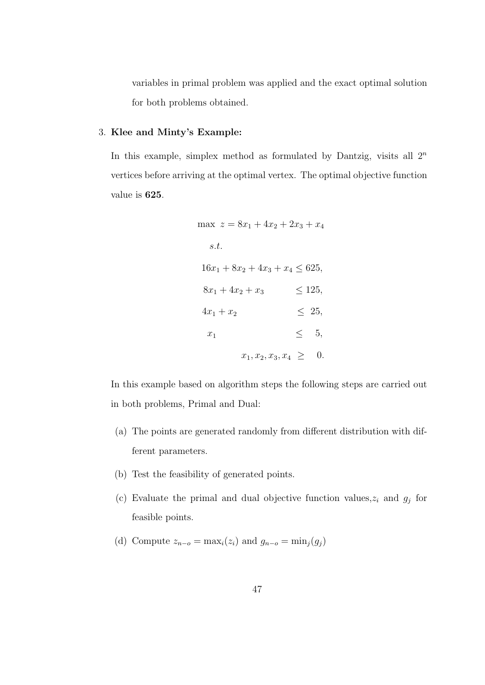variables in primal problem was applied and the exact optimal solution for both problems obtained.

#### 3. Klee and Minty's Example:

In this example, simplex method as formulated by Dantzig, visits all  $2<sup>n</sup>$ vertices before arriving at the optimal vertex. The optimal objective function value is 625.

$$
\max z = 8x_1 + 4x_2 + 2x_3 + x_4
$$
  
s.t.  

$$
16x_1 + 8x_2 + 4x_3 + x_4 \le 625,
$$
  

$$
8x_1 + 4x_2 + x_3 \le 125,
$$
  

$$
4x_1 + x_2 \le 25,
$$
  

$$
x_1 \le 5,
$$
  

$$
x_1, x_2, x_3, x_4 \ge 0.
$$

In this example based on algorithm steps the following steps are carried out in both problems, Primal and Dual:

- (a) The points are generated randomly from different distribution with different parameters.
- (b) Test the feasibility of generated points.
- (c) Evaluate the primal and dual objective function values,  $z_i$  and  $g_j$  for feasible points.
- (d) Compute  $z_{n-o} = \max_i(z_i)$  and  $g_{n-o} = \min_i(g_i)$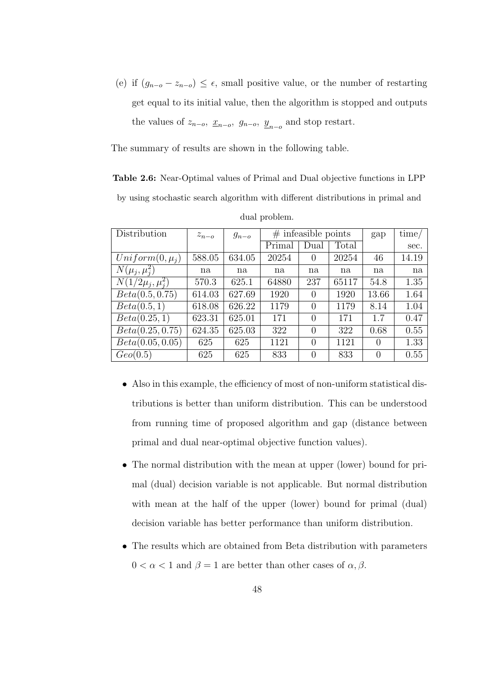(e) if  $(g_{n-o} - z_{n-o}) \leq \epsilon$ , small positive value, or the number of restarting get equal to its initial value, then the algorithm is stopped and outputs the values of  $z_{n-o}$ ,  $\underline{x}_{n-o}$ ,  $g_{n-o}$ ,  $\underline{y}_{n-o}$  and stop restart.

The summary of results are shown in the following table.

Table 2.6: Near-Optimal values of Primal and Dual objective functions in LPP by using stochastic search algorithm with different distributions in primal and

| Distribution           | $z_{n-o}$ | $g_{n-o}$ |        | $#$ infeasible points | gap   | time/    |       |
|------------------------|-----------|-----------|--------|-----------------------|-------|----------|-------|
|                        |           |           | Primal | Dual                  | Total |          | sec.  |
| $Uniform(0, \mu_i)$    | 588.05    | 634.05    | 20254  | $\theta$              | 20254 | 46       | 14.19 |
| $N(\mu_j, \mu_i^2)$    | na        | na        | na     | na                    | na    | na       | na    |
| $N(1/2\mu_i, \mu_i^2)$ | 570.3     | 625.1     | 64880  | 237                   | 65117 | 54.8     | 1.35  |
| Beta(0.5, 0.75)        | 614.03    | 627.69    | 1920   | $\Omega$              | 1920  | 13.66    | 1.64  |
| Beta(0.5, 1)           | 618.08    | 626.22    | 1179   | $\Omega$              | 1179  | 8.14     | 1.04  |
| Beta(0.25, 1)          | 623.31    | 625.01    | 171    | $\Omega$              | 171   | 1.7      | 0.47  |
| Beta(0.25, 0.75)       | 624.35    | 625.03    | 322    | $\Omega$              | 322   | 0.68     | 0.55  |
| Beta(0.05, 0.05)       | 625       | 625       | 1121   | 0                     | 1121  | $\Omega$ | 1.33  |
| Geo(0.5)               | 625       | 625       | 833    | $\theta$              | 833   | 0        | 0.55  |

dual problem.

- Also in this example, the efficiency of most of non-uniform statistical distributions is better than uniform distribution. This can be understood from running time of proposed algorithm and gap (distance between primal and dual near-optimal objective function values).
- The normal distribution with the mean at upper (lower) bound for primal (dual) decision variable is not applicable. But normal distribution with mean at the half of the upper (lower) bound for primal (dual) decision variable has better performance than uniform distribution.
- The results which are obtained from Beta distribution with parameters  $0 < \alpha < 1$  and  $\beta = 1$  are better than other cases of  $\alpha, \beta$ .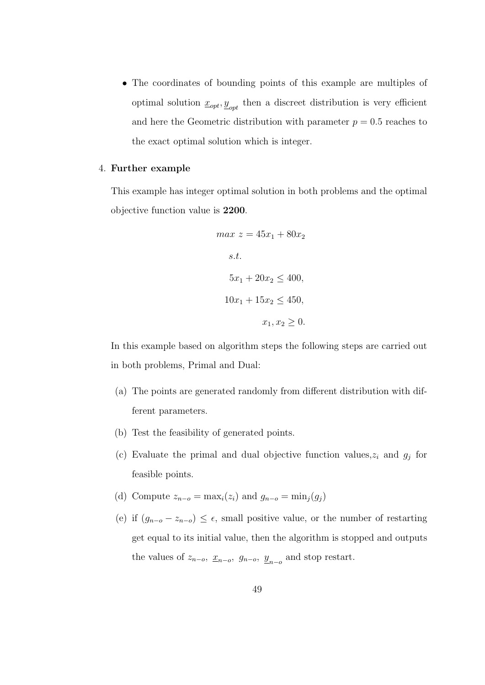• The coordinates of bounding points of this example are multiples of optimal solution  $\underline{x}_{opt}, \underline{y}_{opt}$  then a discreet distribution is very efficient and here the Geometric distribution with parameter  $p = 0.5$  reaches to the exact optimal solution which is integer.

#### 4. Further example

This example has integer optimal solution in both problems and the optimal objective function value is 2200.

$$
max z = 45x_1 + 80x_2
$$
  
s.t.  

$$
5x_1 + 20x_2 \le 400,
$$
  

$$
10x_1 + 15x_2 \le 450,
$$
  

$$
x_1, x_2 \ge 0.
$$

In this example based on algorithm steps the following steps are carried out in both problems, Primal and Dual:

- (a) The points are generated randomly from different distribution with different parameters.
- (b) Test the feasibility of generated points.
- (c) Evaluate the primal and dual objective function values,  $z_i$  and  $g_j$  for feasible points.
- (d) Compute  $z_{n-o} = \max_i(z_i)$  and  $g_{n-o} = \min_i(g_i)$
- (e) if  $(g_{n-o} z_{n-o}) \leq \epsilon$ , small positive value, or the number of restarting get equal to its initial value, then the algorithm is stopped and outputs the values of  $z_{n-o}$ ,  $\underline{x}_{n-o}$ ,  $g_{n-o}$ ,  $\underline{y}_{n-o}$  and stop restart.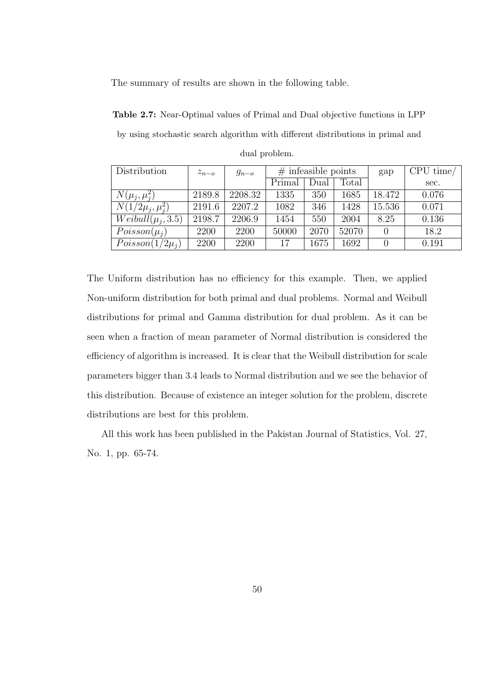The summary of results are shown in the following table.

Table 2.7: Near-Optimal values of Primal and Dual objective functions in LPP by using stochastic search algorithm with different distributions in primal and dual problem.

| Distribution           | $z_{n-o}$ | $g_{n-o}$ |        | $#$ infeasible points |       | gap              | CPU time/ |
|------------------------|-----------|-----------|--------|-----------------------|-------|------------------|-----------|
|                        |           |           | Primal | Dual                  | Total |                  | sec.      |
| $N(\mu_j, \mu_i^2)$    | 2189.8    | 2208.32   | 1335   | 350                   | 1685  | 18.472           | 0.076     |
| $N(1/2\mu_j, \mu_i^2)$ | 2191.6    | 2207.2    | 1082   | 346                   | 1428  | 15.536           | 0.071     |
| $Weibull(\mu_i, 3.5)$  | 2198.7    | 2206.9    | 1454   | 550                   | 2004  | 8.25             | 0.136     |
| $Poisson(\mu_i)$       | 2200      | 2200      | 50000  | 2070                  | 52070 | $\left( \right)$ | 18.2      |
| $Poisson(1/2\mu_i)$    | 2200      | 2200      | 17     | 1675                  | 1692  | $\left( \right)$ | 0.191     |

The Uniform distribution has no efficiency for this example. Then, we applied Non-uniform distribution for both primal and dual problems. Normal and Weibull distributions for primal and Gamma distribution for dual problem. As it can be seen when a fraction of mean parameter of Normal distribution is considered the efficiency of algorithm is increased. It is clear that the Weibull distribution for scale parameters bigger than 3.4 leads to Normal distribution and we see the behavior of this distribution. Because of existence an integer solution for the problem, discrete distributions are best for this problem.

All this work has been published in the Pakistan Journal of Statistics, Vol. 27, No. 1, pp. 65-74.